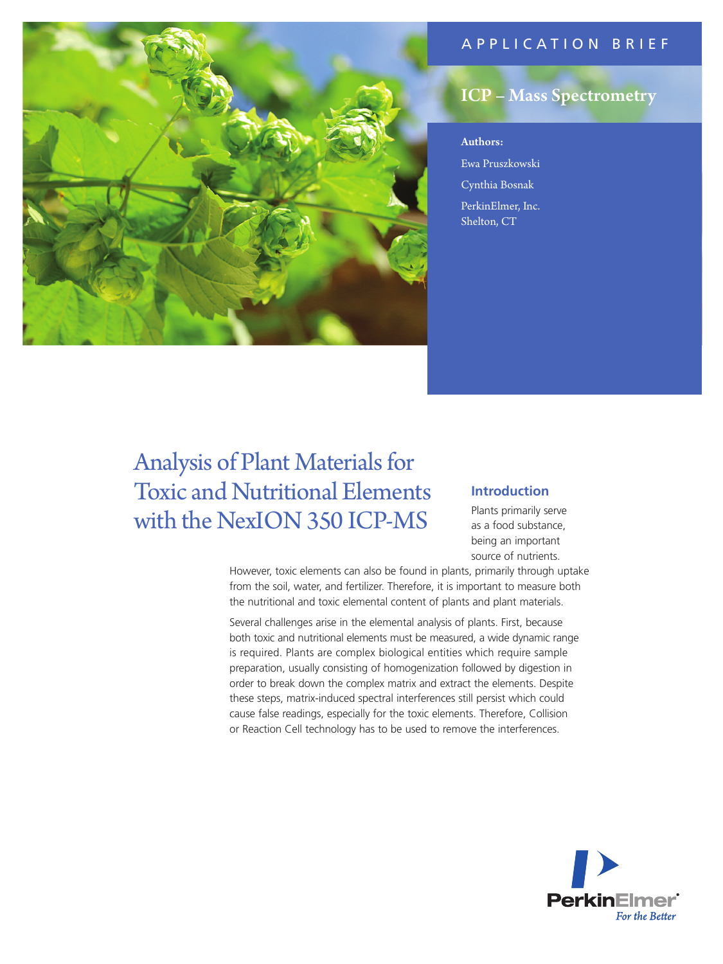# APPLICATION BRIEF



# ICP – Mass Spectrometry

# Authors:

Ewa Pruszkowski Cynthia Bosnak PerkinElmer, Inc. Shelton, CT

# Analysis of Plant Materials for Toxic and Nutritional Elements with the NexION 350 ICP-MS

# **Introduction**

Plants primarily serve as a food substance, being an important source of nutrients.

However, toxic elements can also be found in plants, primarily through uptake from the soil, water, and fertilizer. Therefore, it is important to measure both the nutritional and toxic elemental content of plants and plant materials.

Several challenges arise in the elemental analysis of plants. First, because both toxic and nutritional elements must be measured, a wide dynamic range is required. Plants are complex biological entities which require sample preparation, usually consisting of homogenization followed by digestion in order to break down the complex matrix and extract the elements. Despite these steps, matrix-induced spectral interferences still persist which could cause false readings, especially for the toxic elements. Therefore, Collision or Reaction Cell technology has to be used to remove the interferences.

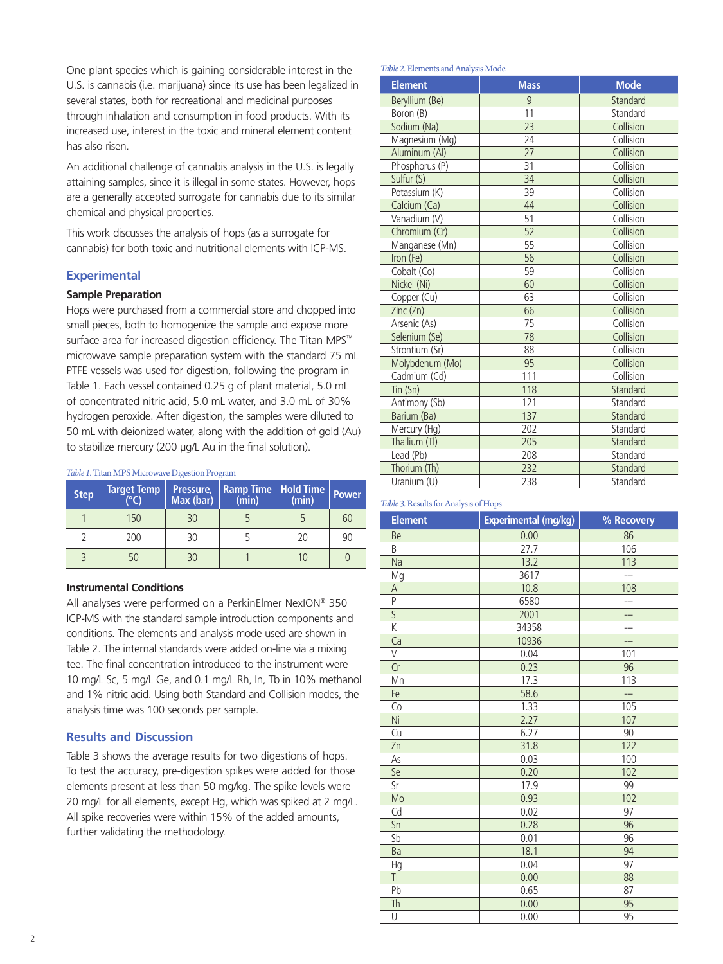One plant species which is gaining considerable interest in the U.S. is cannabis (i.e. marijuana) since its use has been legalized in several states, both for recreational and medicinal purposes through inhalation and consumption in food products. With its increased use, interest in the toxic and mineral element content has also risen.

An additional challenge of cannabis analysis in the U.S. is legally attaining samples, since it is illegal in some states. However, hops are a generally accepted surrogate for cannabis due to its similar chemical and physical properties.

This work discusses the analysis of hops (as a surrogate for cannabis) for both toxic and nutritional elements with ICP-MS.

# **Experimental**

# **Sample Preparation**

Hops were purchased from a commercial store and chopped into small pieces, both to homogenize the sample and expose more surface area for increased digestion efficiency. The Titan MPS™ microwave sample preparation system with the standard 75 mL PTFE vessels was used for digestion, following the program in Table 1. Each vessel contained 0.25 g of plant material, 5.0 mL of concentrated nitric acid, 5.0 mL water, and 3.0 mL of 30% hydrogen peroxide. After digestion, the samples were diluted to 50 mL with deionized water, along with the addition of gold (Au) to stabilize mercury (200 µg/L Au in the final solution).

#### *Table 1.* Titan MPS Microwave Digestion Program

| <b>Step</b> | <b>Target Temp</b><br>$\sqrt{2}$ | Pressure,<br>Max (bar) | <b>Ramp Time   Hold Time</b><br>(min) | (min) | <b>Power</b> |
|-------------|----------------------------------|------------------------|---------------------------------------|-------|--------------|
|             | 150                              | 30                     |                                       |       | 60           |
|             | 200                              | 30                     |                                       | 20    | 90           |
|             |                                  | 30                     |                                       |       |              |

#### **Instrumental Conditions**

All analyses were performed on a PerkinElmer NexION® 350 ICP-MS with the standard sample introduction components and conditions. The elements and analysis mode used are shown in Table 2. The internal standards were added on-line via a mixing tee. The final concentration introduced to the instrument were 10 mg/L Sc, 5 mg/L Ge, and 0.1 mg/L Rh, In, Tb in 10% methanol and 1% nitric acid. Using both Standard and Collision modes, the analysis time was 100 seconds per sample.

# **Results and Discussion**

Table 3 shows the average results for two digestions of hops. To test the accuracy, pre-digestion spikes were added for those elements present at less than 50 mg/kg. The spike levels were 20 mg/L for all elements, except Hg, which was spiked at 2 mg/L. All spike recoveries were within 15% of the added amounts, further validating the methodology.

#### *Table 2.* Elements and Analysis Mode

| 2. Extritento una i mai yolo i riotte |                 |             |  |
|---------------------------------------|-----------------|-------------|--|
| <b>Element</b>                        | <b>Mass</b>     | <b>Mode</b> |  |
| Beryllium (Be)                        | 9               | Standard    |  |
| Boron (B)                             | 11              | Standard    |  |
| Sodium (Na)                           | 23              | Collision   |  |
| Magnesium (Mg)                        | 24              | Collision   |  |
| Aluminum (Al)                         | 27              | Collision   |  |
| Phosphorus (P)                        | 31              | Collision   |  |
| Sulfur (S)                            | 34              | Collision   |  |
| Potassium (K)                         | 39              | Collision   |  |
| Calcium (Ca)                          | 44              | Collision   |  |
| Vanadium (V)                          | 51              | Collision   |  |
| Chromium (Cr)                         | $\overline{52}$ | Collision   |  |
| Manganese (Mn)                        | 55              | Collision   |  |
| Iron (Fe)                             | 56              | Collision   |  |
| Cobalt (Co)                           | 59              | Collision   |  |
| Nickel (Ni)                           | 60              | Collision   |  |
| Copper (Cu)                           | 63              | Collision   |  |
| Zinc (Zn)                             | 66              | Collision   |  |
| Arsenic (As)                          | 75              | Collision   |  |
| Selenium (Se)                         | 78              | Collision   |  |
| Strontium (Sr)                        | 88              | Collision   |  |
| Molybdenum (Mo)                       | 95              | Collision   |  |
| Cadmium (Cd)                          | 111             | Collision   |  |
| Tin (Sn)                              | 118             | Standard    |  |
| Antimony (Sb)                         | 121             | Standard    |  |
| Barium (Ba)                           | 137             | Standard    |  |
| Mercury (Hg)                          | 202             | Standard    |  |
| Thallium (Tl)                         | 205             | Standard    |  |
| Lead (Pb)                             | 208             | Standard    |  |
| Thorium (Th)                          | 232             | Standard    |  |
| Uranium (U)                           | 238             | Standard    |  |

#### *Table 3.* Results for Analysis of Hops

| <b>Element</b>          | Experimental (mg/kg) | % Recovery |
|-------------------------|----------------------|------------|
| Be                      | 0.00                 | 86         |
| B                       | 27.7                 | 106        |
| Na                      | 13.2                 | 113        |
| Mg                      | 3617                 |            |
| $\mathsf{A}$            | 10.8                 | 108        |
| P                       | 6580                 | ---        |
| $\overline{\mathsf{S}}$ | 2001                 |            |
| K                       | 34358<br>---         |            |
| Ca                      | 10936                |            |
| V                       | 0.04                 | 101        |
| Cr                      | 0.23                 | 96         |
| Mn                      | 17.3                 | 113        |
| Fe                      | 58.6                 |            |
| Co                      | 1.33                 | 105        |
| Ni                      | 2.27                 | 107        |
| Cu                      | 6.27                 | 90         |
| Zn                      | 31.8                 | 122        |
| As                      | 0.03                 | 100        |
| Se                      | 0.20                 | 102        |
| Sr                      | 17.9                 | 99         |
| Mo                      | 0.93                 | 102        |
| Cd                      | 0.02                 | 97         |
| Sn                      | 0.28                 | 96         |
| Sb                      | 0.01                 | 96         |
| Ba                      | 18.1                 | 94         |
| Hg                      | 0.04                 | 97         |
| T                       | 0.00                 | 88         |
| Pb                      | 0.65                 | 87         |
| Th                      | 0.00                 | 95         |
| U                       | 0.00                 | 95         |